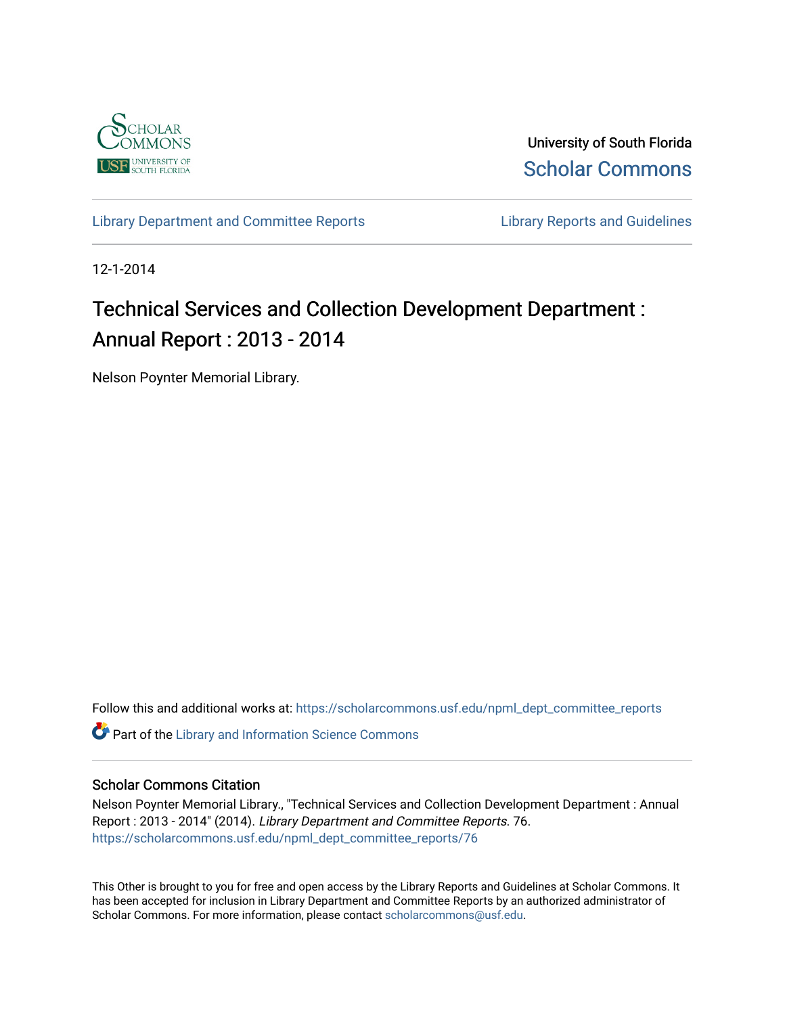

University of South Florida [Scholar Commons](https://scholarcommons.usf.edu/) 

[Library Department and Committee Reports](https://scholarcommons.usf.edu/npml_dept_committee_reports) **Library Reports and Guidelines** 

12-1-2014

# Technical Services and Collection Development Department : Annual Report : 2013 - 2014

Nelson Poynter Memorial Library.

Follow this and additional works at: [https://scholarcommons.usf.edu/npml\\_dept\\_committee\\_reports](https://scholarcommons.usf.edu/npml_dept_committee_reports?utm_source=scholarcommons.usf.edu%2Fnpml_dept_committee_reports%2F76&utm_medium=PDF&utm_campaign=PDFCoverPages)

**C** Part of the Library and Information Science Commons

#### Scholar Commons Citation

Nelson Poynter Memorial Library., "Technical Services and Collection Development Department : Annual Report : 2013 - 2014" (2014). Library Department and Committee Reports. 76. [https://scholarcommons.usf.edu/npml\\_dept\\_committee\\_reports/76](https://scholarcommons.usf.edu/npml_dept_committee_reports/76?utm_source=scholarcommons.usf.edu%2Fnpml_dept_committee_reports%2F76&utm_medium=PDF&utm_campaign=PDFCoverPages) 

This Other is brought to you for free and open access by the Library Reports and Guidelines at Scholar Commons. It has been accepted for inclusion in Library Department and Committee Reports by an authorized administrator of Scholar Commons. For more information, please contact [scholarcommons@usf.edu](mailto:scholarcommons@usf.edu).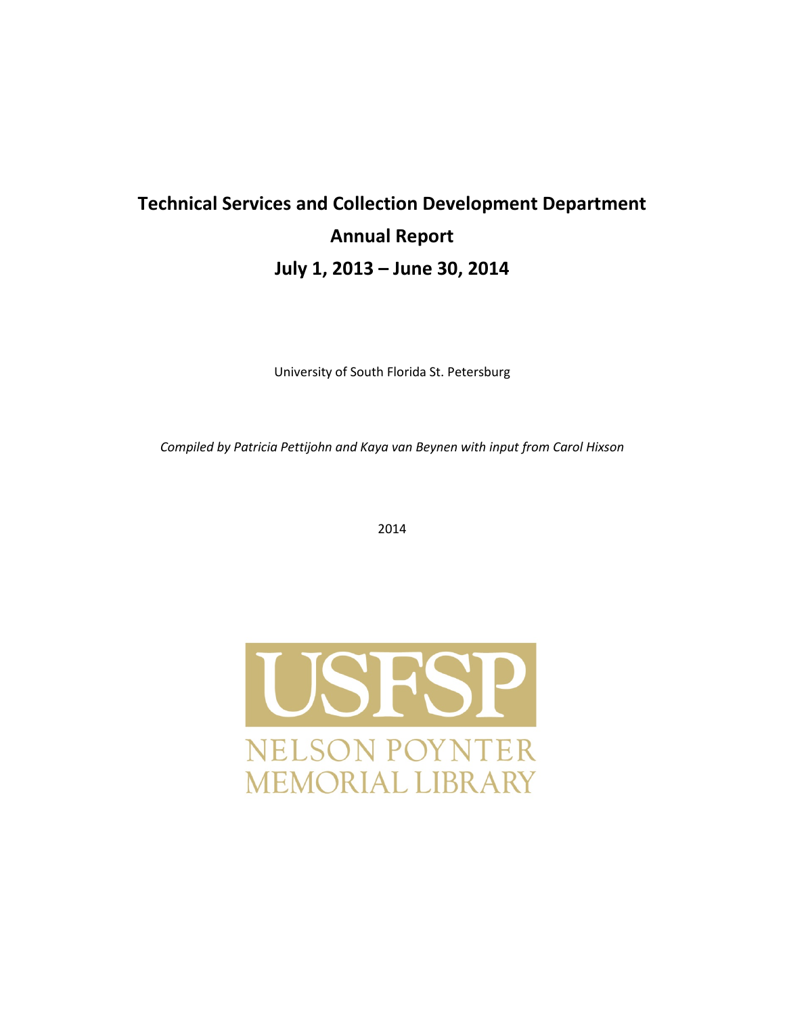# **Technical Services and Collection Development Department Annual Report July 1, 2013 – June 30, 2014**

University of South Florida St. Petersburg

*Compiled by Patricia Pettijohn and Kaya van Beynen with input from Carol Hixson* 

2014

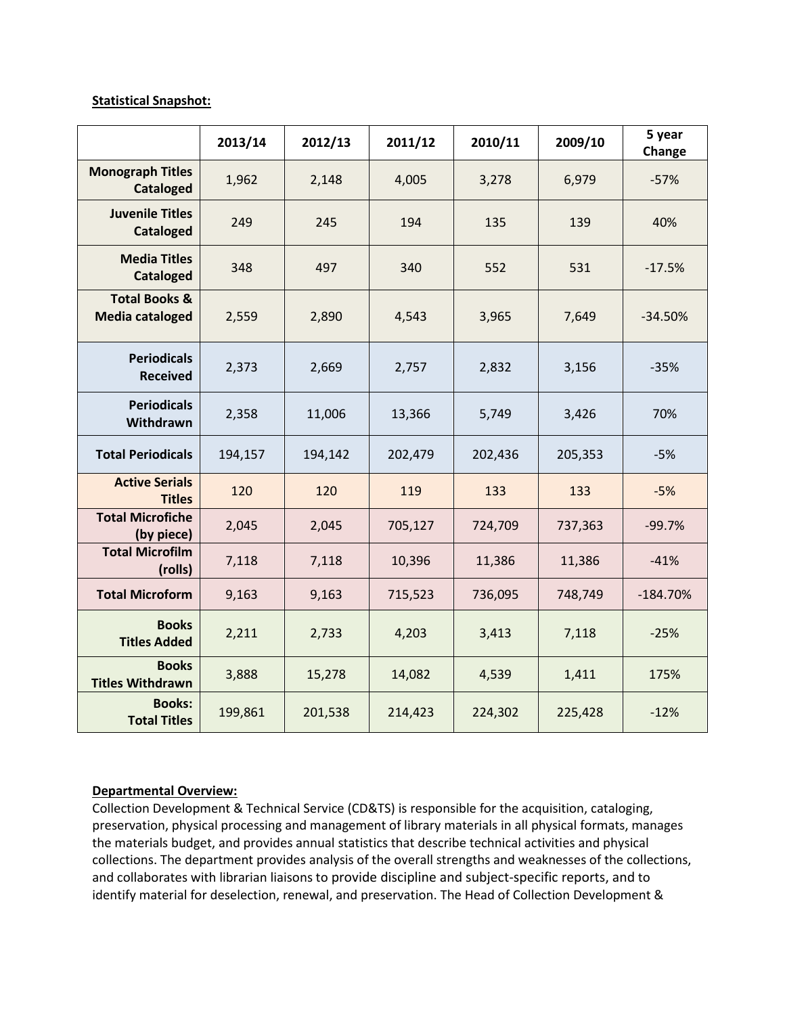#### **Statistical Snapshot:**

|                                                    | 2013/14 | 2012/13 | 2011/12 | 2010/11 | 2009/10 | 5 year<br>Change |
|----------------------------------------------------|---------|---------|---------|---------|---------|------------------|
| <b>Monograph Titles</b><br><b>Cataloged</b>        | 1,962   | 2,148   | 4,005   | 3,278   | 6,979   | $-57%$           |
| <b>Juvenile Titles</b><br><b>Cataloged</b>         | 249     | 245     | 194     | 135     | 139     | 40%              |
| <b>Media Titles</b><br><b>Cataloged</b>            | 348     | 497     | 340     | 552     | 531     | $-17.5%$         |
| <b>Total Books &amp;</b><br><b>Media cataloged</b> | 2,559   | 2,890   | 4,543   | 3,965   | 7,649   | $-34.50%$        |
| <b>Periodicals</b><br><b>Received</b>              | 2,373   | 2,669   | 2,757   | 2,832   | 3,156   | $-35%$           |
| <b>Periodicals</b><br>Withdrawn                    | 2,358   | 11,006  | 13,366  | 5,749   | 3,426   | 70%              |
| <b>Total Periodicals</b>                           | 194,157 | 194,142 | 202,479 | 202,436 | 205,353 | $-5%$            |
| <b>Active Serials</b><br><b>Titles</b>             | 120     | 120     | 119     | 133     | 133     | $-5%$            |
| <b>Total Microfiche</b><br>(by piece)              | 2,045   | 2,045   | 705,127 | 724,709 | 737,363 | $-99.7%$         |
| <b>Total Microfilm</b><br>(rolls)                  | 7,118   | 7,118   | 10,396  | 11,386  | 11,386  | $-41%$           |
| <b>Total Microform</b>                             | 9,163   | 9,163   | 715,523 | 736,095 | 748,749 | $-184.70%$       |
| <b>Books</b><br><b>Titles Added</b>                | 2,211   | 2,733   | 4,203   | 3,413   | 7,118   | $-25%$           |
| <b>Books</b><br><b>Titles Withdrawn</b>            | 3,888   | 15,278  | 14,082  | 4,539   | 1,411   | 175%             |
| <b>Books:</b><br><b>Total Titles</b>               | 199,861 | 201,538 | 214,423 | 224,302 | 225,428 | $-12%$           |

# **Departmental Overview:**

Collection Development & Technical Service (CD&TS) is responsible for the acquisition, cataloging, preservation, physical processing and management of library materials in all physical formats, manages the materials budget, and provides annual statistics that describe technical activities and physical collections. The department provides analysis of the overall strengths and weaknesses of the collections, and collaborates with librarian liaisons to provide discipline and subject-specific reports, and to identify material for deselection, renewal, and preservation. The Head of Collection Development &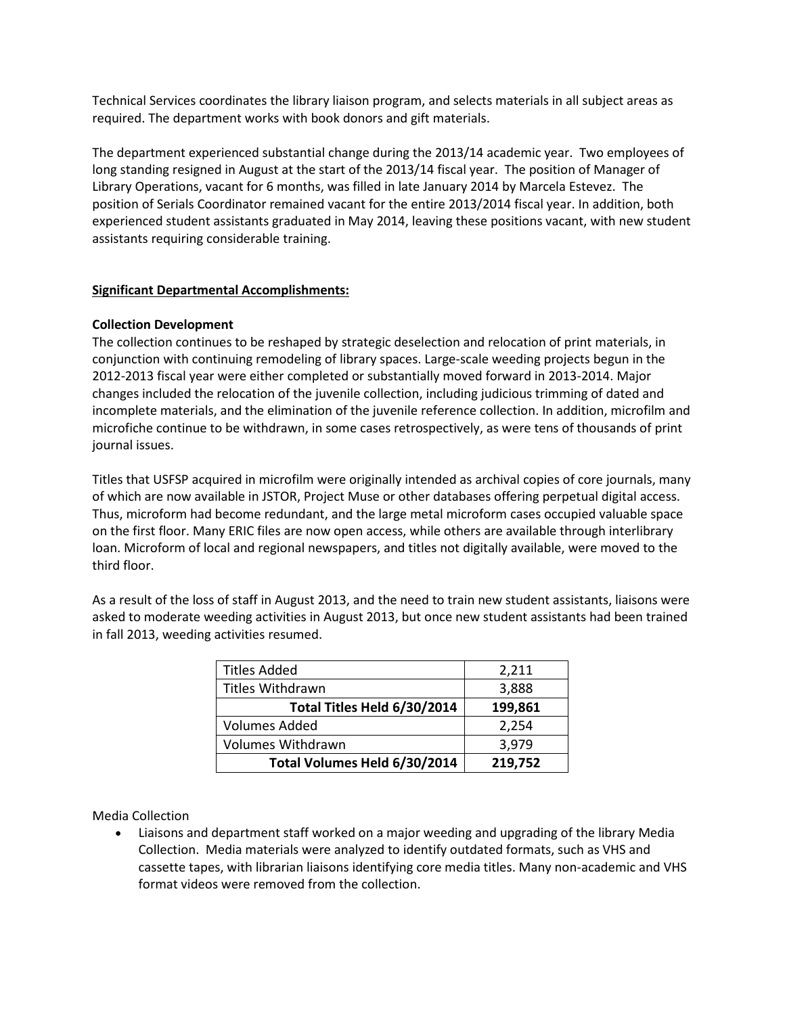Technical Services coordinates the library liaison program, and selects materials in all subject areas as required. The department works with book donors and gift materials.

The department experienced substantial change during the 2013/14 academic year. Two employees of long standing resigned in August at the start of the 2013/14 fiscal year. The position of Manager of Library Operations, vacant for 6 months, was filled in late January 2014 by Marcela Estevez. The position of Serials Coordinator remained vacant for the entire 2013/2014 fiscal year. In addition, both experienced student assistants graduated in May 2014, leaving these positions vacant, with new student assistants requiring considerable training.

#### **Significant Departmental Accomplishments:**

#### **Collection Development**

The collection continues to be reshaped by strategic deselection and relocation of print materials, in conjunction with continuing remodeling of library spaces. Large-scale weeding projects begun in the 2012-2013 fiscal year were either completed or substantially moved forward in 2013-2014. Major changes included the relocation of the juvenile collection, including judicious trimming of dated and incomplete materials, and the elimination of the juvenile reference collection. In addition, microfilm and microfiche continue to be withdrawn, in some cases retrospectively, as were tens of thousands of print journal issues.

Titles that USFSP acquired in microfilm were originally intended as archival copies of core journals, many of which are now available in JSTOR, Project Muse or other databases offering perpetual digital access. Thus, microform had become redundant, and the large metal microform cases occupied valuable space on the first floor. Many ERIC files are now open access, while others are available through interlibrary loan. Microform of local and regional newspapers, and titles not digitally available, were moved to the third floor.

As a result of the loss of staff in August 2013, and the need to train new student assistants, liaisons were asked to moderate weeding activities in August 2013, but once new student assistants had been trained in fall 2013, weeding activities resumed.

| <b>Titles Added</b>          | 2,211   |
|------------------------------|---------|
| <b>Titles Withdrawn</b>      | 3,888   |
| Total Titles Held 6/30/2014  | 199,861 |
| <b>Volumes Added</b>         | 2,254   |
| <b>Volumes Withdrawn</b>     | 3,979   |
| Total Volumes Held 6/30/2014 | 219,752 |

Media Collection

• Liaisons and department staff worked on a major weeding and upgrading of the library Media Collection. Media materials were analyzed to identify outdated formats, such as VHS and cassette tapes, with librarian liaisons identifying core media titles. Many non-academic and VHS format videos were removed from the collection.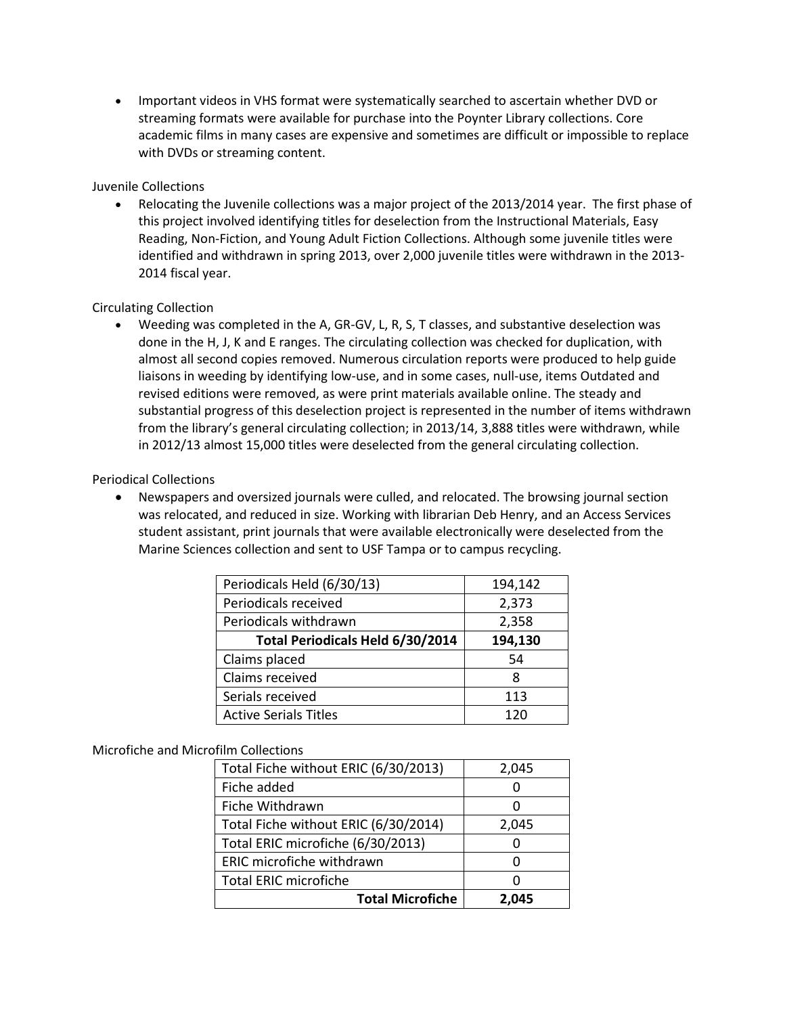• Important videos in VHS format were systematically searched to ascertain whether DVD or streaming formats were available for purchase into the Poynter Library collections. Core academic films in many cases are expensive and sometimes are difficult or impossible to replace with DVDs or streaming content.

#### Juvenile Collections

• Relocating the Juvenile collections was a major project of the 2013/2014 year. The first phase of this project involved identifying titles for deselection from the Instructional Materials, Easy Reading, Non-Fiction, and Young Adult Fiction Collections. Although some juvenile titles were identified and withdrawn in spring 2013, over 2,000 juvenile titles were withdrawn in the 2013- 2014 fiscal year.

# Circulating Collection

• Weeding was completed in the A, GR-GV, L, R, S, T classes, and substantive deselection was done in the H, J, K and E ranges. The circulating collection was checked for duplication, with almost all second copies removed. Numerous circulation reports were produced to help guide liaisons in weeding by identifying low-use, and in some cases, null-use, items Outdated and revised editions were removed, as were print materials available online. The steady and substantial progress of this deselection project is represented in the number of items withdrawn from the library's general circulating collection; in 2013/14, 3,888 titles were withdrawn, while in 2012/13 almost 15,000 titles were deselected from the general circulating collection.

# Periodical Collections

• Newspapers and oversized journals were culled, and relocated. The browsing journal section was relocated, and reduced in size. Working with librarian Deb Henry, and an Access Services student assistant, print journals that were available electronically were deselected from the Marine Sciences collection and sent to USF Tampa or to campus recycling.

| Periodicals Held (6/30/13)       | 194,142 |
|----------------------------------|---------|
| Periodicals received             | 2,373   |
| Periodicals withdrawn            | 2,358   |
| Total Periodicals Held 6/30/2014 | 194,130 |
| Claims placed                    | 54      |
| Claims received                  | 8       |
| Serials received                 | 113     |
| <b>Active Serials Titles</b>     | 120     |

#### Microfiche and Microfilm Collections

| <b>Total Microfiche</b>              | 2.045 |
|--------------------------------------|-------|
| <b>Total ERIC microfiche</b>         |       |
| ERIC microfiche withdrawn            |       |
| Total ERIC microfiche (6/30/2013)    |       |
| Total Fiche without ERIC (6/30/2014) | 2,045 |
| Fiche Withdrawn                      |       |
| Fiche added                          |       |
| Total Fiche without ERIC (6/30/2013) | 2,045 |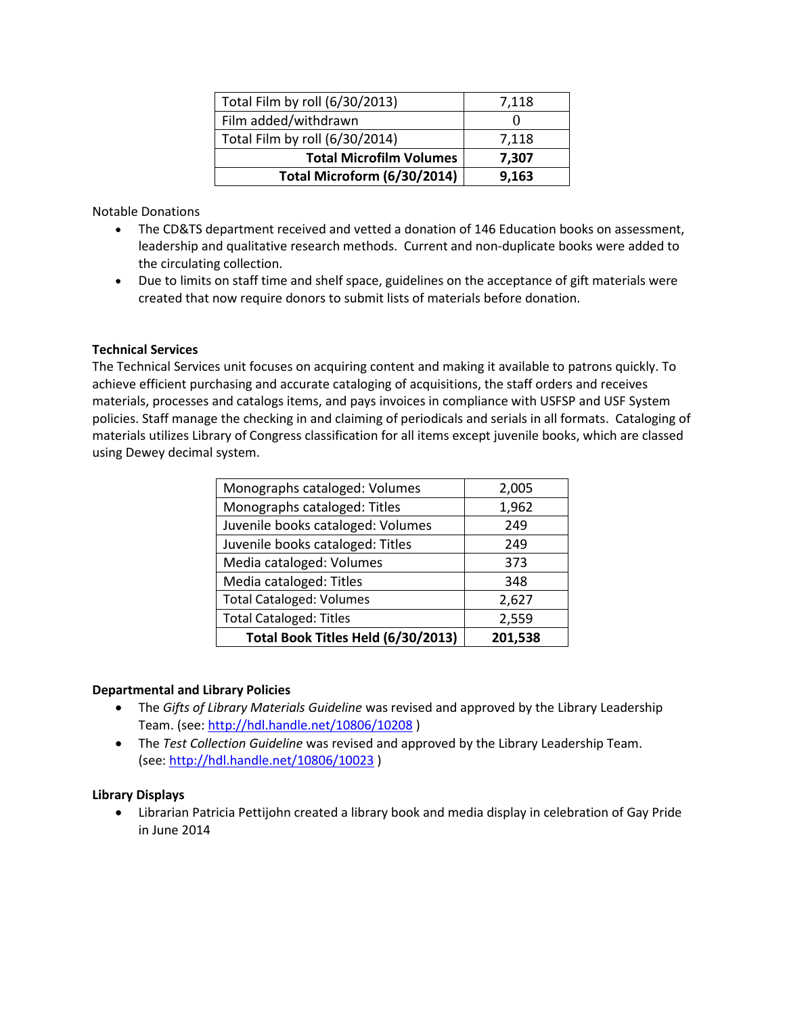| Total Film by roll (6/30/2013) | 7,118 |
|--------------------------------|-------|
| Film added/withdrawn           |       |
| Total Film by roll (6/30/2014) | 7,118 |
| <b>Total Microfilm Volumes</b> | 7,307 |
| Total Microform (6/30/2014)    | 9,163 |

Notable Donations

- The CD&TS department received and vetted a donation of 146 Education books on assessment, leadership and qualitative research methods. Current and non-duplicate books were added to the circulating collection.
- Due to limits on staff time and shelf space, guidelines on the acceptance of gift materials were created that now require donors to submit lists of materials before donation.

# **Technical Services**

The Technical Services unit focuses on acquiring content and making it available to patrons quickly. To achieve efficient purchasing and accurate cataloging of acquisitions, the staff orders and receives materials, processes and catalogs items, and pays invoices in compliance with USFSP and USF System policies. Staff manage the checking in and claiming of periodicals and serials in all formats. Cataloging of materials utilizes Library of Congress classification for all items except juvenile books, which are classed using Dewey decimal system.

| Monographs cataloged: Volumes      | 2,005   |
|------------------------------------|---------|
| Monographs cataloged: Titles       | 1,962   |
| Juvenile books cataloged: Volumes  | 249     |
| Juvenile books cataloged: Titles   | 249     |
| Media cataloged: Volumes           | 373     |
| Media cataloged: Titles            | 348     |
| <b>Total Cataloged: Volumes</b>    | 2,627   |
| <b>Total Cataloged: Titles</b>     | 2,559   |
| Total Book Titles Held (6/30/2013) | 201,538 |

#### **Departmental and Library Policies**

- The *Gifts of Library Materials Guideline* was revised and approved by the Library Leadership Team. (see:<http://hdl.handle.net/10806/10208> )
- The *Test Collection Guideline* was revised and approved by the Library Leadership Team. (see:<http://hdl.handle.net/10806/10023> )

#### **Library Displays**

• Librarian Patricia Pettijohn created a library book and media display in celebration of Gay Pride in June 2014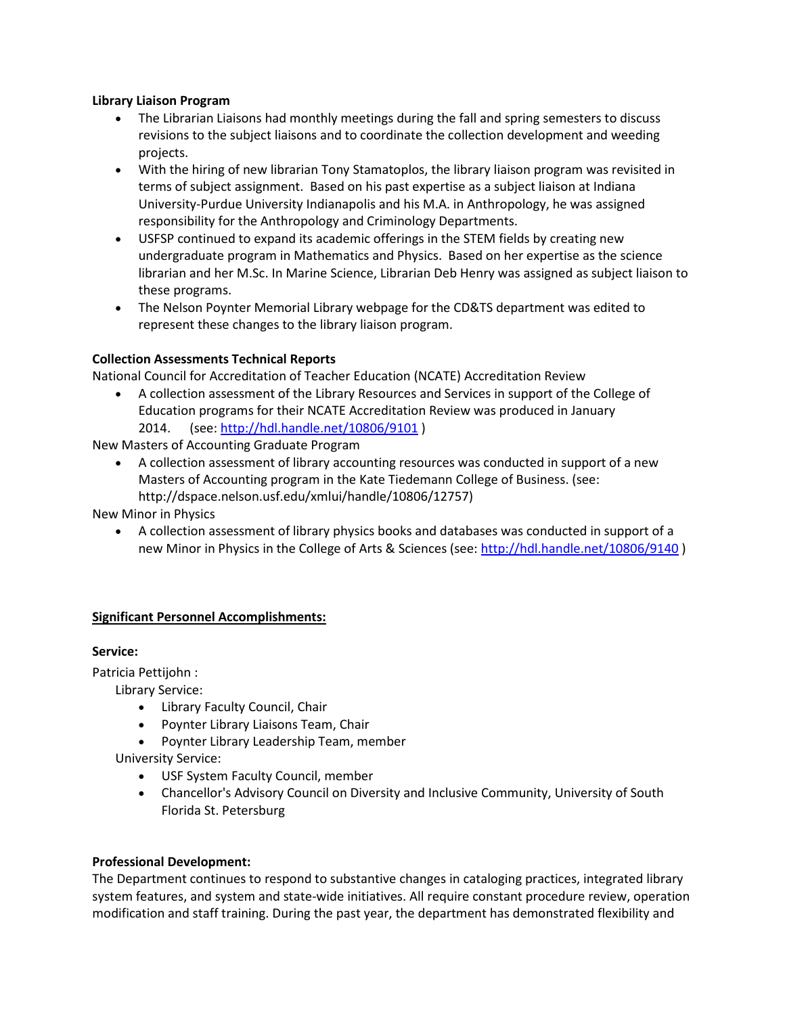#### **Library Liaison Program**

- The Librarian Liaisons had monthly meetings during the fall and spring semesters to discuss revisions to the subject liaisons and to coordinate the collection development and weeding projects.
- With the hiring of new librarian Tony Stamatoplos, the library liaison program was revisited in terms of subject assignment. Based on his past expertise as a subject liaison at Indiana University-Purdue University Indianapolis and his M.A. in Anthropology, he was assigned responsibility for the Anthropology and Criminology Departments.
- USFSP continued to expand its academic offerings in the STEM fields by creating new undergraduate program in Mathematics and Physics. Based on her expertise as the science librarian and her M.Sc. In Marine Science, Librarian Deb Henry was assigned as subject liaison to these programs.
- The Nelson Poynter Memorial Library webpage for the CD&TS department was edited to represent these changes to the library liaison program.

# **Collection Assessments Technical Reports**

National Council for Accreditation of Teacher Education (NCATE) Accreditation Review

• A collection assessment of the Library Resources and Services in support of the College of Education programs for their NCATE Accreditation Review was produced in January 2014. (see:<http://hdl.handle.net/10806/9101> )

New Masters of Accounting Graduate Program

• A collection assessment of library accounting resources was conducted in support of a new Masters of Accounting program in the Kate Tiedemann College of Business. (see: http://dspace.nelson.usf.edu/xmlui/handle/10806/12757)

New Minor in Physics

• A collection assessment of library physics books and databases was conducted in support of a new Minor in Physics in the College of Arts & Sciences (see:<http://hdl.handle.net/10806/9140> )

# **Significant Personnel Accomplishments:**

#### **Service:**

Patricia Pettijohn :

Library Service:

- Library Faculty Council, Chair
- Poynter Library Liaisons Team, Chair
- Poynter Library Leadership Team, member

University Service:

- USF System Faculty Council, member
- Chancellor's Advisory Council on Diversity and Inclusive Community, University of South Florida St. Petersburg

#### **Professional Development:**

The Department continues to respond to substantive changes in cataloging practices, integrated library system features, and system and state-wide initiatives. All require constant procedure review, operation modification and staff training. During the past year, the department has demonstrated flexibility and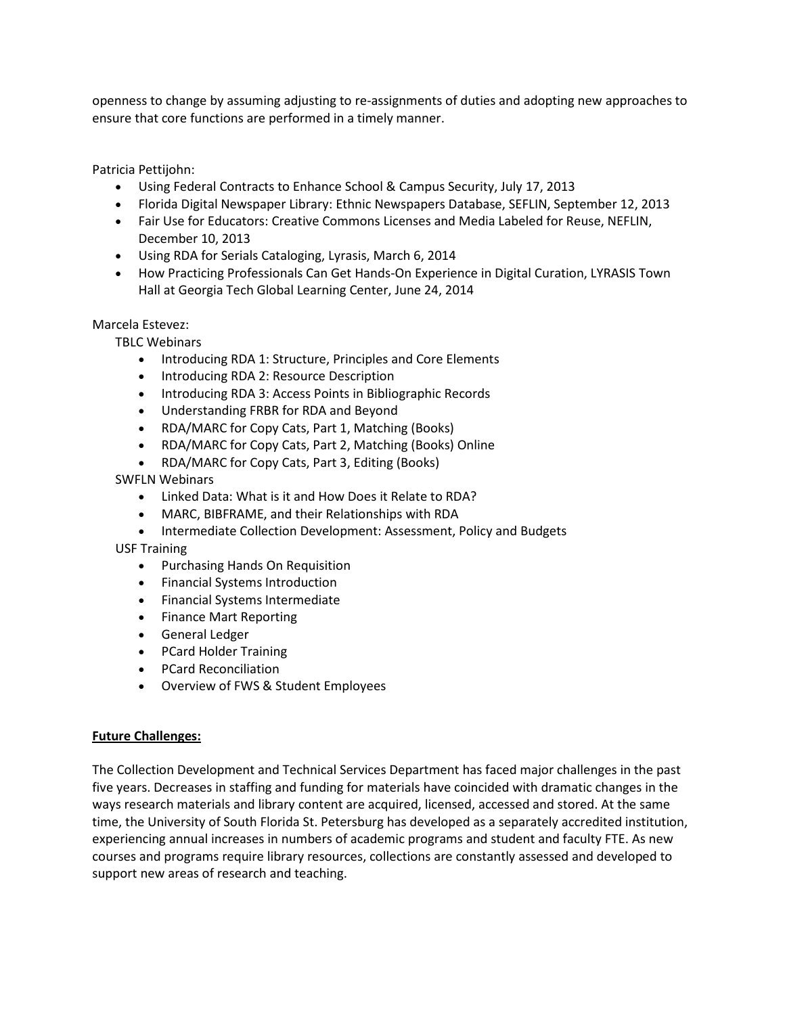openness to change by assuming adjusting to re-assignments of duties and adopting new approaches to ensure that core functions are performed in a timely manner.

Patricia Pettijohn:

- Using Federal Contracts to Enhance School & Campus Security, July 17, 2013
- Florida Digital Newspaper Library: Ethnic Newspapers Database, SEFLIN, September 12, 2013
- Fair Use for Educators: Creative Commons Licenses and Media Labeled for Reuse, NEFLIN, December 10, 2013
- Using RDA for Serials Cataloging, Lyrasis, March 6, 2014
- How Practicing Professionals Can Get Hands-On Experience in Digital Curation, LYRASIS Town Hall at Georgia Tech Global Learning Center, June 24, 2014

#### Marcela Estevez:

TBLC Webinars

- Introducing RDA 1: Structure, Principles and Core Elements
- Introducing RDA 2: Resource Description
- Introducing RDA 3: Access Points in Bibliographic Records
- Understanding FRBR for RDA and Beyond
- RDA/MARC for Copy Cats, Part 1, Matching (Books)
- RDA/MARC for Copy Cats, Part 2, Matching (Books) Online
- RDA/MARC for Copy Cats, Part 3, Editing (Books)

SWFLN Webinars

- Linked Data: What is it and How Does it Relate to RDA?
- MARC, BIBFRAME, and their Relationships with RDA
- Intermediate Collection Development: Assessment, Policy and Budgets

USF Training

- Purchasing Hands On Requisition
- Financial Systems Introduction
- Financial Systems Intermediate
- Finance Mart Reporting
- General Ledger
- PCard Holder Training
- PCard Reconciliation
- Overview of FWS & Student Employees

#### **Future Challenges:**

The Collection Development and Technical Services Department has faced major challenges in the past five years. Decreases in staffing and funding for materials have coincided with dramatic changes in the ways research materials and library content are acquired, licensed, accessed and stored. At the same time, the University of South Florida St. Petersburg has developed as a separately accredited institution, experiencing annual increases in numbers of academic programs and student and faculty FTE. As new courses and programs require library resources, collections are constantly assessed and developed to support new areas of research and teaching.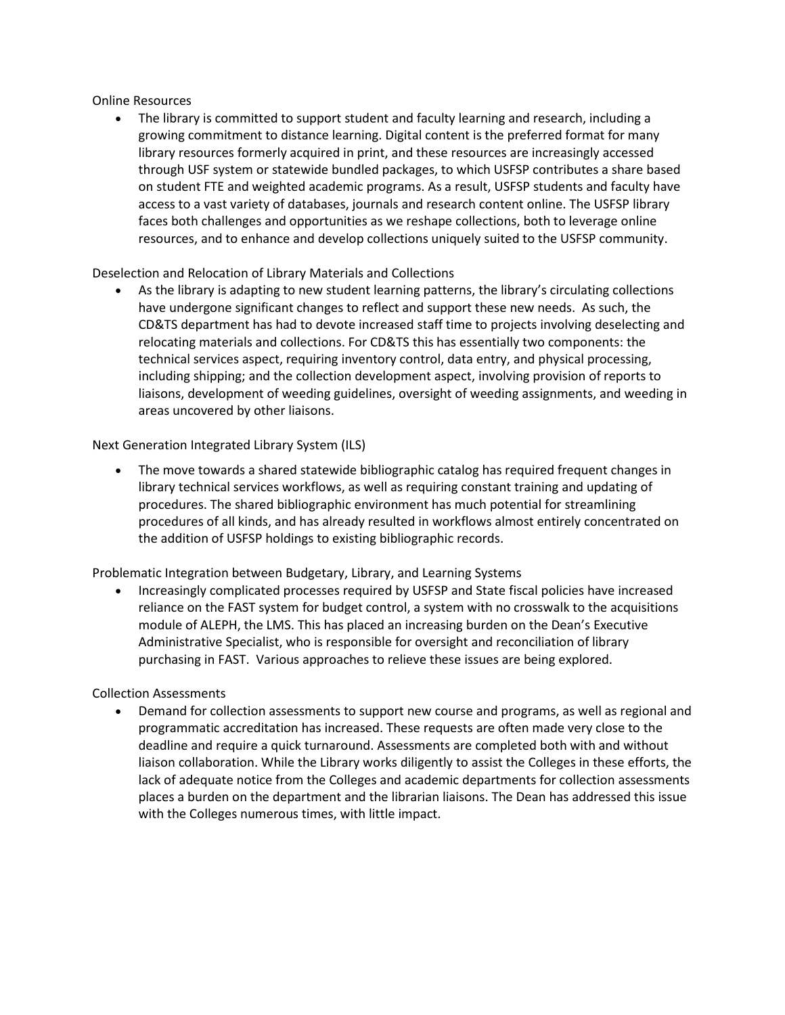Online Resources

• The library is committed to support student and faculty learning and research, including a growing commitment to distance learning. Digital content is the preferred format for many library resources formerly acquired in print, and these resources are increasingly accessed through USF system or statewide bundled packages, to which USFSP contributes a share based on student FTE and weighted academic programs. As a result, USFSP students and faculty have access to a vast variety of databases, journals and research content online. The USFSP library faces both challenges and opportunities as we reshape collections, both to leverage online resources, and to enhance and develop collections uniquely suited to the USFSP community.

Deselection and Relocation of Library Materials and Collections

As the library is adapting to new student learning patterns, the library's circulating collections have undergone significant changes to reflect and support these new needs. As such, the CD&TS department has had to devote increased staff time to projects involving deselecting and relocating materials and collections. For CD&TS this has essentially two components: the technical services aspect, requiring inventory control, data entry, and physical processing, including shipping; and the collection development aspect, involving provision of reports to liaisons, development of weeding guidelines, oversight of weeding assignments, and weeding in areas uncovered by other liaisons.

Next Generation Integrated Library System (ILS)

• The move towards a shared statewide bibliographic catalog has required frequent changes in library technical services workflows, as well as requiring constant training and updating of procedures. The shared bibliographic environment has much potential for streamlining procedures of all kinds, and has already resulted in workflows almost entirely concentrated on the addition of USFSP holdings to existing bibliographic records.

Problematic Integration between Budgetary, Library, and Learning Systems

• Increasingly complicated processes required by USFSP and State fiscal policies have increased reliance on the FAST system for budget control, a system with no crosswalk to the acquisitions module of ALEPH, the LMS. This has placed an increasing burden on the Dean's Executive Administrative Specialist, who is responsible for oversight and reconciliation of library purchasing in FAST. Various approaches to relieve these issues are being explored.

Collection Assessments

• Demand for collection assessments to support new course and programs, as well as regional and programmatic accreditation has increased. These requests are often made very close to the deadline and require a quick turnaround. Assessments are completed both with and without liaison collaboration. While the Library works diligently to assist the Colleges in these efforts, the lack of adequate notice from the Colleges and academic departments for collection assessments places a burden on the department and the librarian liaisons. The Dean has addressed this issue with the Colleges numerous times, with little impact.